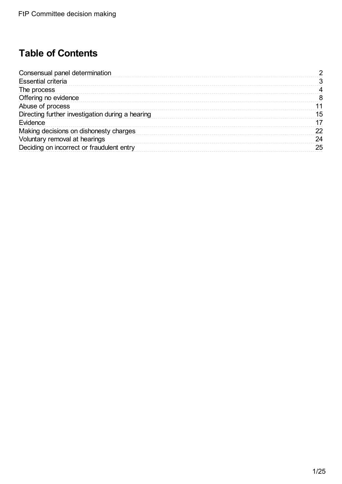# **Table of Contents**

| Consensual panel determination                   |    |
|--------------------------------------------------|----|
| Essential criteria                               |    |
| The process                                      |    |
| Offering no evidence                             |    |
| Abuse of process                                 |    |
| Directing further investigation during a hearing | 15 |
| Evidence                                         |    |
| Making decisions on dishonesty charges           | 22 |
| Voluntary removal at hearings                    | 24 |
| Deciding on incorrect or fraudulent entry        | 25 |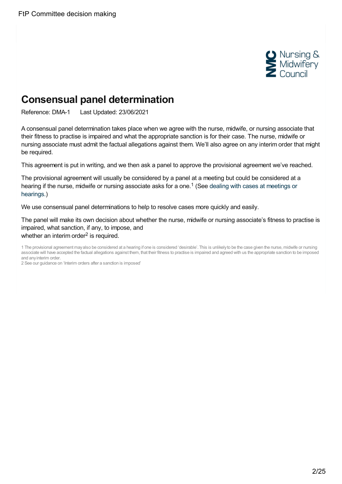

# <span id="page-1-0"></span>**Consensual panel determination**

Reference: DMA-1 Last Updated: 23/06/2021

A consensual panel determination takes place when we agree with the nurse, midwife, or nursing associate that their fitness to practise is impaired and what the appropriate sanction is for their case. The nurse, midwife or nursing associate must admit the factual allegations against them. We'll also agree on any interim order that might be required.

This agreement is put in writing, and we then ask a panel to approve the provisional agreement we've reached.

The provisional agreement will usually be considered by a panel at a meeting but could be considered at a hearing if the nurse, midwife or nursing [associate](https://www.nmc.org.uk/ftp-library/case-management/dealing-with-cases-at-hearings-or-meetings/) asks for a one.<sup>1</sup> (See dealing with cases at meetings or hearings.)

We use consensual panel determinations to help to resolve cases more quickly and easily.

The panel will make its own decision about whether the nurse, midwife or nursing associate's fitness to practise is impaired, what sanction, if any, to impose, and whether an interim order<sup>2</sup> is required.

2 See our guidance on 'Interim orders after a sanction is imposed'

<sup>1</sup> The provisional agreement mayalso be considered at a hearing if one is considered 'desirable'. This is unlikelyto be the case given the nurse, midwife or nursing associate will have accepted the factual allegations against them, that their fitness to practise is impaired and agreed with us the appropriate sanction to be imposed and anyinterim order.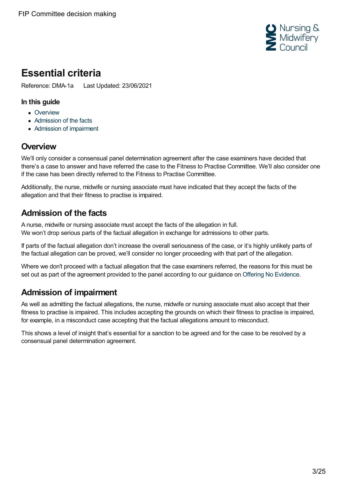

# <span id="page-2-0"></span>**Essential criteria**

Reference: DMA-1a Last Updated: 23/06/2021

#### **In this guide**

- [Overview](#page-2-1)
- [Admission](#page-2-2) of the facts
- Admission of [impairment](#page-2-3)

### <span id="page-2-1"></span>**Overview**

We'll only consider a consensual panel determination agreement after the case examiners have decided that there's a case to answer and have referred the case to the Fitness to Practise Committee. We'll also consider one if the case has been directly referred to the Fitness to Practise Committee.

Additionally, the nurse, midwife or nursing associate must have indicated that they accept the facts of the allegation and that their fitness to practise is impaired.

## <span id="page-2-2"></span>**Admission of the facts**

A nurse, midwife or nursing associate must accept the facts of the allegation in full. We won't drop serious parts of the factual allegation in exchange for admissions to other parts.

If parts of the factual allegation don't increase the overall seriousness of the case, or it's highly unlikely parts of the factual allegation can be proved, we'll consider no longer proceeding with that part of the allegation.

Where we don't proceed with a factual allegation that the case examiners referred, the reasons for this must be set out as part of the agreement provided to the panel according to our guidance on Offering No [Evidence](https://www.nmc.org.uk/ftp-library/ftpc-decision-making/offering-no-evidence/).

## <span id="page-2-3"></span>**Admission of impairment**

As well as admitting the factual allegations, the nurse, midwife or nursing associate must also accept that their fitness to practise is impaired. This includes accepting the grounds on which their fitness to practise is impaired, for example, in a misconduct case accepting that the factual allegations amount to misconduct.

This shows a level of insight that's essential for a sanction to be agreed and for the case to be resolved by a consensual panel determination agreement.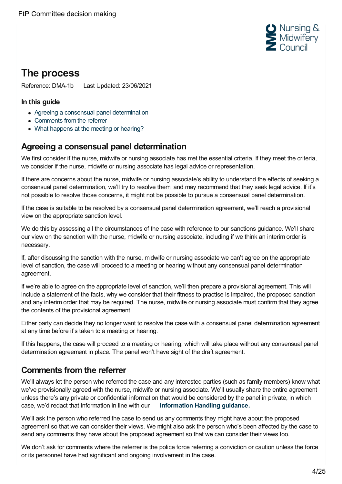

# <span id="page-3-0"></span>**The process**

Reference: DMA-1b Last Updated: 23/06/2021

#### **In this guide**

- Agreeing a consensual panel [determination](#page-3-1)
- [Comments](#page-3-2) from the referrer
- What [happens](#page-4-0) at the meeting or hearing?

## <span id="page-3-1"></span>**Agreeing a consensual panel determination**

We first consider if the nurse, midwife or nursing associate has met the essential criteria. If they meet the criteria, we consider if the nurse, midwife or nursing associate has legal advice or representation.

If there are concerns about the nurse, midwife or nursing associate's ability to understand the effects of seeking a consensual panel determination, we'll try to resolve them, and may recommend that they seek legal advice. If it's not possible to resolve those concerns, it might not be possible to pursue a consensual panel determination.

If the case is suitable to be resolved by a consensual panel determination agreement, we'll reach a provisional view on the appropriate sanction level.

We do this by assessing all the circumstances of the case with reference to our sanctions guidance. We'll share our view on the sanction with the nurse, midwife or nursing associate, including if we think an interim order is necessary.

If, after discussing the sanction with the nurse, midwife or nursing associate we can't agree on the appropriate level of sanction, the case will proceed to a meeting or hearing without any consensual panel determination agreement.

If we're able to agree on the appropriate level of sanction, we'll then prepare a provisional agreement. This will include a statement of the facts, why we consider that their fitness to practise is impaired, the proposed sanction and any interim order that may be required. The nurse, midwife or nursing associate must confirm that they agree the contents of the provisional agreement.

Either party can decide they no longer want to resolve the case with a consensual panel determination agreement at any time before it's taken to a meeting or hearing.

If this happens, the case will proceed to a meeting or hearing, which will take place without any consensual panel determination agreement in place. The panel won't have sight of the draft agreement.

## <span id="page-3-2"></span>**Comments from the referrer**

We'll always let the person who referred the case and any interested parties (such as family members) know what we've provisionally agreed with the nurse, midwife or nursing associate. We'll usually share the entire agreement unless there's any private or confidential information that would be considered by the panel in private, in which case, we'd redact that information in line with our **[Information](https://www.nmc.org.uk/globalassets/sitedocuments/ftp_information/ftp-information-handling-guidance.pdf) Handling guidance.**

We'll ask the person who referred the case to send us any comments they might have about the proposed agreement so that we can consider their views. We might also ask the person who's been affected by the case to send any comments they have about the proposed agreement so that we can consider their views too.

We don't ask for comments where the referrer is the police force referring a conviction or caution unless the force or its personnel have had significant and ongoing involvement in the case.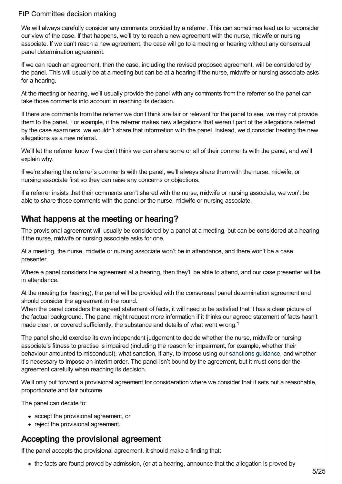We will always carefully consider any comments provided by a referrer. This can sometimes lead us to reconsider our view of the case. If that happens, we'll try to reach a new agreement with the nurse, midwife or nursing associate. If we can't reach a new agreement, the case will go to a meeting or hearing without any consensual panel determination agreement.

If we can reach an agreement, then the case, including the revised proposed agreement, will be considered by the panel. This will usually be at a meeting but can be at a hearing if the nurse, midwife or nursing associate asks for a hearing.

At the meeting or hearing, we'll usually provide the panel with any comments from the referrer so the panel can take those comments into account in reaching its decision.

If there are comments from the referrer we don't think are fair or relevant for the panel to see, we may not provide them to the panel. For example, if the referrer makes new allegations that weren't part of the allegations referred by the case examiners, we wouldn't share that information with the panel. Instead, we'd consider treating the new allegations as a new referral.

We'll let the referrer know if we don't think we can share some or all of their comments with the panel, and we'll explain why.

If we're sharing the referrer's comments with the panel, we'll always share them with the nurse, midwife, or nursing associate first so they can raise any concerns or objections.

If a referrer insists that their comments aren't shared with the nurse, midwife or nursing associate, we won't be able to share those comments with the panel or the nurse, midwife or nursing associate.

## <span id="page-4-0"></span>**What happens at the meeting or hearing?**

The provisional agreement will usually be considered by a panel at a meeting, but can be considered at a hearing if the nurse, midwife or nursing associate asks for one.

At a meeting, the nurse, midwife or nursing associate won't be in attendance, and there won't be a case presenter.

Where a panel considers the agreement at a hearing, then they'll be able to attend, and our case presenter will be in attendance.

At the meeting (or hearing), the panel will be provided with the consensual panel determination agreement and should consider the agreement in the round.

When the panel considers the agreed statement of facts, it will need to be satisfied that it has a clear picture of the factual background. The panel might request more information if it thinks our agreed statement of facts hasn't made clear, or covered sufficiently, the substance and details of what went wrong.<sup>1</sup>

The panel should exercise its own independent judgement to decide whether the nurse, midwife or nursing associate's fitness to practise is impaired (including the reason for impairment, for example, whether their behaviour amounted to misconduct), what sanction, if any, to impose using our [sanctions](https://www.nmc.org.uk/ftp-library/sanctions/decision-making-factors/) guidance, and whether it's necessary to impose an interim order. The panel isn't bound by the agreement, but it must consider the agreement carefully when reaching its decision.

We'll only put forward a provisional agreement for consideration where we consider that it sets out a reasonable. proportionate and fair outcome.

The panel can decide to:

- accept the provisional agreement, or
- reject the provisional agreement.

### **Accepting the provisional agreement**

If the panel accepts the provisional agreement, it should make a finding that:

the facts are found proved by admission, (or at a hearing, announce that the allegation is proved by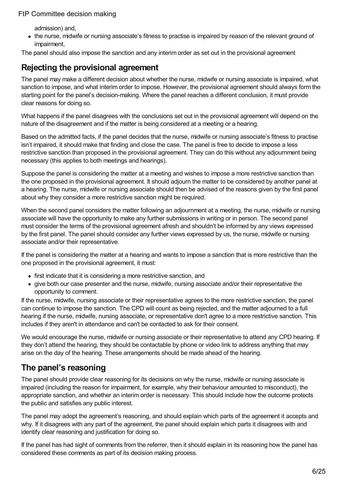admission) and,

the nurse, midwife or nursing associate's fitness to practise is impaired by reason of the relevant ground of impairment,

The panel should also impose the sanction and any interim order as set out in the provisional agreement

## **Rejecting the provisional agreement**

The panel may make a different decision about whether the nurse, midwife or nursing associate is impaired, what sanction to impose, and what interim order to impose. However, the provisional agreement should always form the starting point for the panel's decision-making. Where the panel reaches a different conclusion, it must provide clear reasons for doing so.

What happens if the panel disagrees with the conclusions set out in the provisional agreement will depend on the nature of the disagreement and if the matter is being considered at a meeting or a hearing.

Based on the admitted facts, if the panel decides that the nurse, midwife or nursing associate's fitness to practise isn't impaired, it should make that finding and close the case. The panel is free to decide to impose a less restrictive sanction than proposed in the provisional agreement. They can do this without any adjournment being necessary (this applies to both meetings and hearings).

Suppose the panel is considering the matter at a meeting and wishes to impose a more restrictive sanction than the one proposed in the provisional agreement. It should adjourn the matter to be considered by another panel at a hearing. The nurse, midwife or nursing associate should then be advised of the reasons given by the first panel about why they consider a more restrictive sanction might be required.

When the second panel considers the matter following an adjournment at a meeting, the nurse, midwife or nursing associate will have the opportunity to make any further submissions in writing or in person. The second panel must consider the terms of the provisional agreement afresh and shouldn't be informed by any views expressed by the first panel. The panel should consider any further views expressed by us, the nurse, midwife or nursing associate and/or their representative.

If the panel is considering the matter at a hearing and wants to impose a sanction that is more restrictive than the one proposed in the provisional agreement, it must:

- first indicate that it is considering a more restrictive sanction, and
- give both our case presenter and the nurse, midwife, nursing associate and/or their representative the opportunity to comment.

If the nurse, midwife, nursing associate or their representative agrees to the more restrictive sanction, the panel can continue to impose the sanction. The CPD will count as being rejected, and the matter adjourned to a full hearing if the nurse, midwife, nursing associate, or representative don't agree to a more restrictive sanction. This includes if they aren't in attendance and can't be contacted to ask for their consent.

We would encourage the nurse, midwife or nursing associate or their representative to attend any CPD hearing. If they don't attend the hearing, they should be contactable by phone or video link to address anything that may arise on the day of the hearing. These arrangements should be made ahead of the hearing.

## **The panel's reasoning**

The panel should provide clear reasoning for its decisions on why the nurse, midwife or nursing associate is impaired (including the reason for impairment, for example, why their behaviour amounted to misconduct), the appropriate sanction, and whether an interim order is necessary. This should include how the outcome protects the public and satisfies any public interest.

The panel may adopt the agreement's reasoning, and should explain which parts of the agreement it accepts and why. If it disagrees with any part of the agreement, the panel should explain which parts it disagrees with and identify clear reasoning and justification for doing so.

If the panel has had sight of comments from the referrer, then it should explain in its reasoning how the panel has considered these comments as part of its decision making process.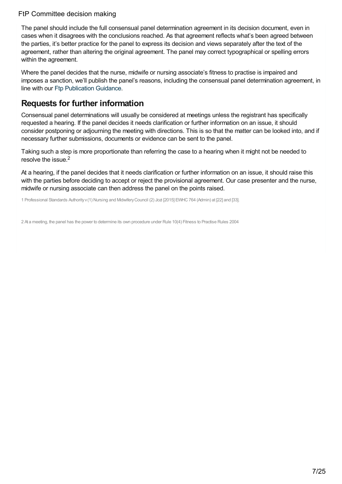The panel should include the full consensual panel determination agreement in its decision document, even in cases when it disagrees with the conclusions reached. As that agreement reflects what's been agreed between the parties, it's better practice for the panel to express its decision and views separately after the text of the agreement, rather than altering the original agreement. The panel may correct typographical or spelling errors within the agreement.

Where the panel decides that the nurse, midwife or nursing associate's fitness to practise is impaired and imposes a sanction, we'll publish the panel's reasons, including the consensual panel determination agreement, in line with our Ftp [Publication](https://www.nmc.org.uk/globalassets/sitedocuments/ftp_information/publication-gudiance.pdf) Guidance.

### **Requests for further information**

Consensual panel determinations will usually be considered at meetings unless the registrant has specifically requested a hearing. If the panel decides it needs clarification or further information on an issue, it should consider postponing or adjourning the meeting with directions. This is so that the matter can be looked into, and if necessary further submissions, documents or evidence can be sent to the panel.

Taking such a step is more proportionate than referring the case to a hearing when it might not be needed to resolve the issue. 2

At a hearing, if the panel decides that it needs clarification or further information on an issue, it should raise this with the parties before deciding to accept or reject the provisional agreement. Our case presenter and the nurse, midwife or nursing associate can then address the panel on the points raised.

1 Professional Standards Authorityv(1) Nursing and MidwiferyCouncil (2) Jozi [2015] EWHC764 (Admin) at [22] and [33].

2 At a meeting, the panel has the power to determine its own procedure under Rule 10(4) Fitness to Practise Rules 2004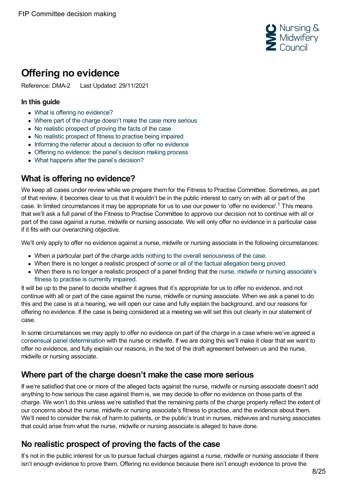

# <span id="page-7-0"></span>**Offering no evidence**

Reference: DMA-2 Last Updated: 29/11/2021

#### **In this guide**

- What is offering no [evidence?](#page-7-1)
- Where part of the charge [doesn't](#page-7-2) make the case more serious
- No realistic [prospect](#page-7-3) of proving the facts of the case
- No realistic [prospect](#page-8-0) of fitness to practise being impaired
- [Informing](#page-8-1) the referrer about a decision to offer no evidence
- Offering no [evidence:](#page-8-2) the panel's decision making process
- What happens after the panel's [decision?](#page-9-0)

### <span id="page-7-1"></span>**What is offering no evidence?**

We keep all cases under review while we prepare them for the Fitness to Practise Committee. Sometimes, as part of that review, it becomes clear to us that it wouldn't be in the public interest to carry on with all or part of the case. In limited circumstances it may be appropriate for us to use our power to 'offer no evidence'.<sup>1</sup> This means that we'll ask a full panel of the Fitness to Practise Committee to approve our decision not to continue with all or part of the case against a nurse, midwife or nursing associate. We will only offer no evidence in a particular case if it fits with our overarching objective.

We'll only apply to offer no evidence against a nurse, midwife or nursing associate in the following circumstances:

- When a particular part of the charge adds nothing to the overall [seriousness](#page-7-2) of the case.
- When there is no longer a realistic prospect of some or all of the factual [allegation](#page-7-3) being proved.
- When there is no longer a realistic prospect of a panel finding that the nurse, midwife or nursing [associate's](#page-8-0) fitness to practise is currently impaired.

It will be up to the panel to decide whether it agrees that it's appropriate for us to offer no evidence, and not continue with all or part of the case against the nurse, midwife or nursing associate. When we ask a panel to do this and the case is at a hearing, we will open our case and fully explain the background, and our reasons for offering no evidence. If the case is being considered at a meeting we will set this out clearly in our statement of case.

In some circumstances we may apply to offer no evidence on part of the charge in a case where we've agreed a consensual panel [determination](https://www.nmc.org.uk/ftp-library/ftpc-decision-making/consensual-panel-determination/) with the nurse or midwife. If we are doing this we'll make it clear that we want to offer no evidence, and fully explain our reasons, in the text of the draft agreement between us and the nurse, midwife or nursing associate.

### <span id="page-7-2"></span>**Where part of the charge doesn't make the case more serious**

If we're satisfied that one or more of the alleged facts against the nurse, midwife or nursing associate doesn't add anything to how serious the case against them is, we may decide to offer no evidence on those parts of the charge. We won't do this unless we're satisfied that the remaining parts of the charge properly reflect the extent of our concerns about the nurse, midwife or nursing associate's fitness to practise, and the evidence about them. We'll need to consider the risk of harm to patients, or the public's trust in nurses, midwives and nursing associates that could arise from what the nurse, midwife or nursing associate is alleged to have done.

## <span id="page-7-3"></span>**No realistic prospect of proving the facts of the case**

It's not in the public interest for us to pursue factual charges against a nurse, midwife or nursing associate if there isn't enough evidence to prove them. Offering no evidence because there isn't enough evidence to prove the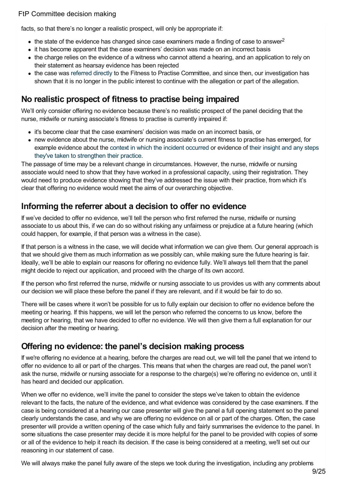facts, so that there's no longer a realistic prospect, will only be appropriate if:

- the state of the evidence has changed since case examiners made a finding of case to answer<sup>2</sup>
- it has become apparent that the case examiners' decision was made on an incorrect basis
- the charge relies on the evidence of a witness who cannot attend a hearing, and an application to rely on their statement as hearsay evidence has been rejected
- the case was [referred](https://www.nmc.org.uk/ftp-library/understanding-fitness-to-practise/fitness-to-practise-allegations/criminal-convictions-and-cautions/directly-referring-specified-offences-to-the-fitness-to-practise-committee/) directly to the Fitness to Practise Committee, and since then, our investigation has shown that it is no longer in the public interest to continue with the allegation or part of the allegation.

### <span id="page-8-0"></span>**No realistic prospect of fitness to practise being impaired**

We'll only consider offering no evidence because there's no realistic prospect of the panel deciding that the nurse, midwife or nursing associate's fitness to practise is currently impaired if:

- it's become clear that the case examiners' decision was made on an incorrect basis, or
- new evidence about the nurse, midwife or nursing associate's current fitness to practise has emerged, for example evidence about the context in which the incident [occurred](https://www.nmc.org.uk/ftp-library/understanding-fitness-to-practise/taking-account-of-context/) or evidence of their insight and any steps they've taken to [strengthen](https://www.nmc.org.uk/ftp-library/understanding-fitness-to-practise/insight-and-strengthened-practice/) their practice.

The passage of time may be a relevant change in circumstances. However, the nurse, midwife or nursing associate would need to show that they have worked in a professional capacity, using their registration. They would need to produce evidence showing that they've addressed the issue with their practice, from which it's clear that offering no evidence would meet the aims of our overarching objective.

### <span id="page-8-1"></span>**Informing the referrer about a decision to offer no evidence**

If we've decided to offer no evidence, we'll tell the person who first referred the nurse, midwife or nursing associate to us about this, if we can do so without risking any unfairness or prejudice at a future hearing (which could happen, for example, if that person was a witness in the case).

If that person is a witness in the case, we will decide what information we can give them. Our general approach is that we should give them as much information as we possibly can, while making sure the future hearing is fair. Ideally, we'll be able to explain our reasons for offering no evidence fully. We'll always tell them that the panel might decide to reject our application, and proceed with the charge of its own accord.

If the person who first referred the nurse, midwife or nursing associate to us provides us with any comments about our decision we will place these before the panel if they are relevant, and if it would be fair to do so.

There will be cases where it won't be possible for us to fully explain our decision to offer no evidence before the meeting or hearing. If this happens, we will let the person who referred the concerns to us know, before the meeting or hearing, that we have decided to offer no evidence. We will then give them a full explanation for our decision after the meeting or hearing.

### <span id="page-8-2"></span>**Offering no evidence: the panel's decision making process**

If we're offering no evidence at a hearing, before the charges are read out, we will tell the panel that we intend to offer no evidence to all or part of the charges. This means that when the charges are read out, the panel won't ask the nurse, midwife or nursing associate for a response to the charge(s) we're offering no evidence on, until it has heard and decided our application.

When we offer no evidence, we'll invite the panel to consider the steps we've taken to obtain the evidence relevant to the facts, the nature of the evidence, and what evidence was considered by the case examiners. If the case is being considered at a hearing our case presenter will give the panel a full opening statement so the panel clearly understands the case, and why we are offering no evidence on all or part of the charges. Often, the case presenter will provide a written opening of the case which fully and fairly summarises the evidence to the panel. In some situations the case presenter may decide it is more helpful for the panel to be provided with copies of some or all of the evidence to help it reach its decision. If the case is being considered at a meeting, we'll set out our reasoning in our statement of case.

We will always make the panel fully aware of the steps we took during the investigation, including any problems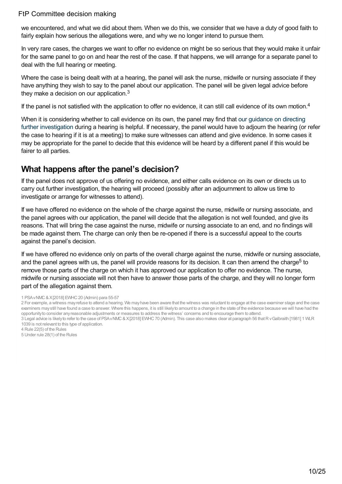we encountered, and what we did about them. When we do this, we consider that we have a duty of good faith to fairly explain how serious the allegations were, and why we no longer intend to pursue them.

In very rare cases, the charges we want to offer no evidence on might be so serious that they would make it unfair for the same panel to go on and hear the rest of the case. If that happens, we will arrange for a separate panel to deal with the full hearing or meeting.

Where the case is being dealt with at a hearing, the panel will ask the nurse, midwife or nursing associate if they have anything they wish to say to the panel about our application. The panel will be given legal advice before they make a decision on our application. $3$ 

If the panel is not satisfied with the application to offer no evidence, it can still call evidence of its own motion.<sup>4</sup>

When it is [considering](https://www.nmc.org.uk/ftp-library/ftpc-decision-making/directing-further-investigation-during-a-hearing/) whether to call evidence on its own, the panel may find that our guidance on directing further investigation during a hearing is helpful. If necessary, the panel would have to adjourn the hearing (or refer the case to hearing if it is at a meeting) to make sure witnesses can attend and give evidence. In some cases it may be appropriate for the panel to decide that this evidence will be heard by a different panel if this would be fairer to all parties.

### <span id="page-9-0"></span>**What happens after the panel's decision?**

If the panel does not approve of us offering no evidence, and either calls evidence on its own or directs us to carry out further investigation, the hearing will proceed (possibly after an adjournment to allow us time to investigate or arrange for witnesses to attend).

If we have offered no evidence on the whole of the charge against the nurse, midwife or nursing associate, and the panel agrees with our application, the panel will decide that the allegation is not well founded, and give its reasons. That will bring the case against the nurse, midwife or nursing associate to an end, and no findings will be made against them. The charge can only then be re-opened if there is a successful appeal to the courts against the panel's decision.

If we have offered no evidence only on parts of the overall charge against the nurse, midwife or nursing associate, and the panel agrees with us, the panel will provide reasons for its decision. It can then amend the charge<sup>5</sup> to remove those parts of the charge on which it has approved our application to offer no evidence. The nurse, midwife or nursing associate will not then have to answer those parts of the charge, and they will no longer form part of the allegation against them.

1 PSAvNMC&X[2018] EWHC20 (Admin) para 55-57

<sup>2</sup> For example, a witness mayrefuse to attend a hearing. We mayhave been aware that the witness was reluctant to engage at the case examiner stage and the case examiners may still have found a case to answer. Where this happens, it is still likely to amount to a change in the state of the evidence because we will have had the opportunityto consider anyreasonable adjustments or measures to address the witness' concerns and to encourage them to attend.

<sup>3</sup> Legal advice is likely to refer to the case of PSA v NMC & X[2018] EWHC 70 (Admin). This case also makes clear at paragraph 56 that R y Galbraith [1981] 1 WLR 1039 is not relevant to this type of application.

<sup>4</sup> Rule 22(5) of the Rules

<sup>5</sup> Under rule 28(1) of the Rules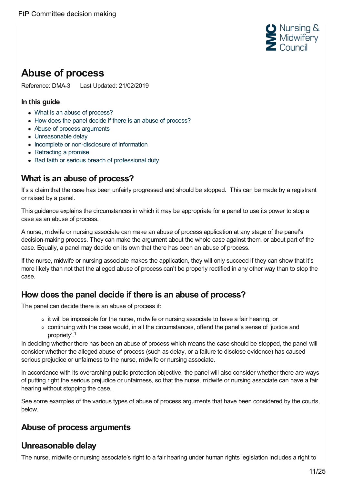

# <span id="page-10-0"></span>**Abuse of process**

Reference: DMA-3 Last Updated: 21/02/2019

#### **In this guide**

- What is an abuse of [process?](#page-10-1)
- How does the panel decide if there is an abuse of [process?](#page-10-2)
- Abuse of process [arguments](#page-10-3)
- [Unreasonable](#page-10-4) delay
- Incomplete or [non-disclosure](#page-11-0) of information
- [Retracting](#page-12-0) a promise
- Bad faith or serious breach of [professional](#page-13-0) duty

## <span id="page-10-1"></span>**What is an abuse of process?**

It's a claim that the case has been unfairly progressed and should be stopped. This can be made by a registrant or raised by a panel.

This guidance explains the circumstances in which it may be appropriate for a panel to use its power to stop a case as an abuse of process.

A nurse, midwife or nursing associate can make an abuse of process application at any stage of the panel's decision-making process. They can make the argument about the whole case against them, or about part of the case. Equally, a panel may decide on its own that there has been an abuse of process.

If the nurse, midwife or nursing associate makes the application, they will only succeed if they can show that it's more likely than not that the alleged abuse of process can't be properly rectified in any other way than to stop the case.

### <span id="page-10-2"></span>**How does the panel decide if there is an abuse of process?**

The panel can decide there is an abuse of process if:

- $\circ$  it will be impossible for the nurse, midwife or nursing associate to have a fair hearing, or
- continuing with the case would, in all the circumstances, offend the panel's sense of 'justice and propriety'. 1

In deciding whether there has been an abuse of process which means the case should be stopped, the panel will consider whether the alleged abuse of process (such as delay, or a failure to disclose evidence) has caused serious prejudice or unfairness to the nurse, midwife or nursing associate.

In accordance with its overarching public protection objective, the panel will also consider whether there are ways of putting right the serious prejudice or unfairness, so that the nurse, midwife or nursing associate can have a fair hearing without stopping the case.

See some examples of the various types of abuse of process arguments that have been considered by the courts, below.

### <span id="page-10-3"></span>**Abuse of process arguments**

### <span id="page-10-4"></span>**Unreasonable delay**

The nurse, midwife or nursing associate's right to a fair hearing under human rights legislation includes a right to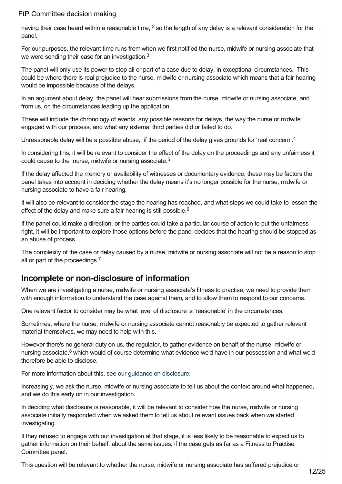having their case heard within a reasonable time,  $^2$  so the length of any delay is a relevant consideration for the panel.

For our purposes, the relevant time runs from when we first notified the nurse, midwife or nursing associate that we were sending their case for an investigation. $3$ 

The panel will only use its power to stop all or part of a case due to delay, in exceptional circumstances. This could be where there is real prejudice to the nurse, midwife or nursing associate which means that a fair hearing would be impossible because of the delays.

In an argument about delay, the panel will hear submissions from the nurse, midwife or nursing associate, and from us, on the circumstances leading up the application.

These will include the chronology of events, any possible reasons for delays, the way the nurse or midwife engaged with our process, and what any external third parties did or failed to do.

Unreasonable delay will be a possible abuse, if the period of the delay gives grounds for 'real concern'.<sup>4</sup>

In considering this, it will be relevant to consider the effect of the delay on the proceedings and any unfairness it could cause to the nurse, midwife or nursing associate. 5

If the delay affected the memory or availability of witnesses or documentary evidence, these may be factors the panel takes into account in deciding whether the delay means it's no longer possible for the nurse, midwife or nursing associate to have a fair hearing.

It will also be relevant to consider the stage the hearing has reached, and what steps we could take to lessen the effect of the delay and make sure a fair hearing is still possible.<sup>6</sup>

If the panel could make a direction, or the parties could take a particular course of action to put the unfairness right, it will be important to explore those options before the panel decides that the hearing should be stopped as an abuse of process.

The complexity of the case or delay caused by a nurse, midwife or nursing associate will not be a reason to stop all or part of the proceedings.<sup>7</sup>

### <span id="page-11-0"></span>**Incomplete or non-disclosure of information**

When we are investigating a nurse, midwife or nursing associate's fitness to practise, we need to provide them with enough information to understand the case against them, and to allow them to respond to our concerns.

One relevant factor to consider may be what level of disclosure is 'reasonable' in the circumstances.

Sometimes, where the nurse, midwife or nursing associate cannot reasonably be expected to gather relevant material themselves, we may need to help with this.

However there's no general duty on us, the regulator, to gather evidence on behalf of the nurse, midwife or nursing associate,<sup>8</sup> which would of course determine what evidence we'd have in our possession and what we'd therefore be able to disclose.

For more information about this, see our guidance on [disclosure.](https://www.nmc.org.uk/ftp-library/hearings/disclosure/)

Increasingly, we ask the nurse, midwife or nursing associate to tell us about the context around what happened, and we do this early on in our investigation.

In deciding what disclosure is reasonable, it will be relevant to consider how the nurse, midwife or nursing associate initially responded when we asked them to tell us about relevant issues back when we started investigating.

If they refused to engage with our investigation at that stage, it is less likely to be reasonable to expect us to gather information on their behalf, about the same issues, if the case gets as far as a Fitness to Practise Committee panel.

This question will be relevant to whether the nurse, midwife or nursing associate has suffered prejudice or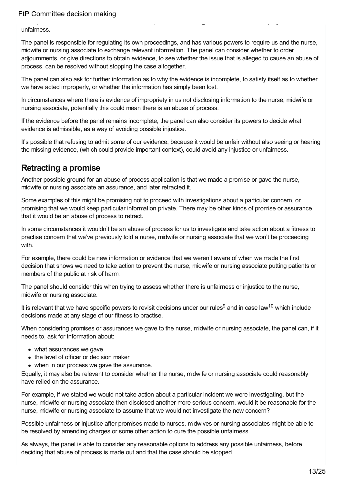This question will be relevant to whether the nurse, midwife or nursing associate has suffered prejudice or unfairness.

The panel is responsible for regulating its own proceedings, and has various powers to require us and the nurse, midwife or nursing associate to exchange relevant information. The panel can consider whether to order adjournments, or give directions to obtain evidence, to see whether the issue that is alleged to cause an abuse of process, can be resolved without stopping the case altogether.

The panel can also ask for further information as to why the evidence is incomplete, to satisfy itself as to whether we have acted improperly, or whether the information has simply been lost.

In circumstances where there is evidence of impropriety in us not disclosing information to the nurse, midwife or nursing associate, potentially this could mean there is an abuse of process.

If the evidence before the panel remains incomplete, the panel can also consider its powers to decide what evidence is admissible, as a way of avoiding possible injustice.

It's possible that refusing to admit some of our evidence, because it would be unfair without also seeing or hearing the missing evidence, (which could provide important context), could avoid any injustice or unfairness.

### <span id="page-12-0"></span>**Retracting a promise**

Another possible ground for an abuse of process application is that we made a promise or gave the nurse, midwife or nursing associate an assurance, and later retracted it.

Some examples of this might be promising not to proceed with investigations about a particular concern, or promising that we would keep particular information private. There may be other kinds of promise or assurance that it would be an abuse of process to retract.

In some circumstances it wouldn't be an abuse of process for us to investigate and take action about a fitness to practise concern that we've previously told a nurse, midwife or nursing associate that we won't be proceeding with.

For example, there could be new information or evidence that we weren't aware of when we made the first decision that shows we need to take action to prevent the nurse, midwife or nursing associate putting patients or members of the public at risk of harm.

The panel should consider this when trying to assess whether there is unfairness or injustice to the nurse, midwife or nursing associate.

It is relevant that we have specific powers to revisit decisions under our rules<sup>9</sup> and in case law<sup>10</sup> which include decisions made at any stage of our fitness to practise.

When considering promises or assurances we gave to the nurse, midwife or nursing associate, the panel can, if it needs to, ask for information about:

- what assurances we gave
- the level of officer or decision maker
- when in our process we gave the assurance.

Equally, it may also be relevant to consider whether the nurse, midwife or nursing associate could reasonably have relied on the assurance.

For example, if we stated we would not take action about a particular incident we were investigating, but the nurse, midwife or nursing associate then disclosed another more serious concern, would it be reasonable for the nurse, midwife or nursing associate to assume that we would not investigate the new concern?

Possible unfairness or injustice after promises made to nurses, midwives or nursing associates might be able to be resolved by amending charges or some other action to cure the possible unfairness.

As always, the panel is able to consider any reasonable options to address any possible unfairness, before deciding that abuse of process is made out and that the case should be stopped.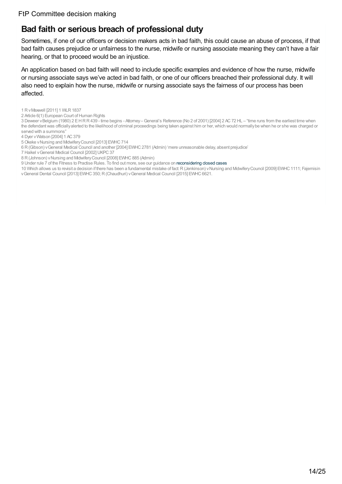### <span id="page-13-0"></span>**Bad faith or serious breach of professional duty**

Sometimes, if one of our officers or decision makers acts in bad faith, this could cause an abuse of process, if that bad faith causes prejudice or unfairness to the nurse, midwife or nursing associate meaning they can't have a fair hearing, or that to proceed would be an injustice.

An application based on bad faith will need to include specific examples and evidence of how the nurse, midwife or nursing associate says we've acted in bad faith, or one of our officers breached their professional duty. It will also need to explain how the nurse, midwife or nursing associate says the fairness of our process has been affected.

1 RvMaxwell [2011] 1 WLR1837

2 Article 6(1) European Court of Human Rights

3 Deweer vBelgium (1980) 2 EHRR439 - time begins - Attorney–General's Reference (No 2 of 2001) [2004] 2 AC72 HL – "time runs from the earliest time when the defendant was officiallyalerted to the likelihood of criminal proceedings being taken against him or her, which would normally be when he or she was charged or served with a summons"

- 4 Dyer vWatson [2004] 1 AC379
- 5Okeke vNursing and MidwiferyCouncil [2013] EWHC714
- 6 R(Gibson) vGeneral Medical Council and another [2004] EWHC2781 (Admin) 'mere unreasonable delay, absent prejudice'
- 7 Haikel v General Medical Council [2002] UKPC 37
- 8 R(Johnson) vNursing and MidwiferyCouncil [2008] EWHC885 (Admin)
- 9 Under rule 7 of the Fitness to Practise Rules. To find out more, see our guidance on [reconsidering](https://www.nmc.org.uk/ftp-library/case-examiners/reconsidering-closed-cases/) closed cases
- 10 Which allows us to revisit a decision if there has been a fundamental mistake of fact:R(Jenkinson) vNursing and MidwiferyCouncil [2009] EWHC1111; Fajemisin vGeneral Dental Council [2013] EWHC350;R(Chaudhuri) vGeneral Medical Council [2015] EWHC6621.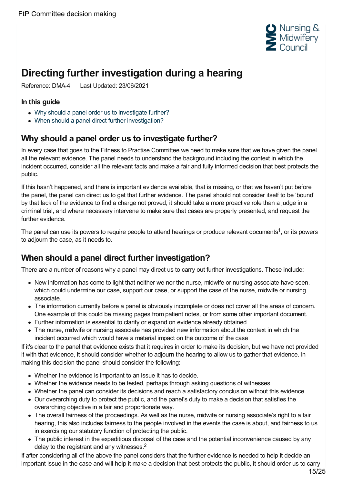

# <span id="page-14-0"></span>**Directing further investigation during a hearing**

Reference: DMA-4 Last Updated: 23/06/2021

#### **In this guide**

- Why should a panel order us to [investigate](#page-14-1) further?
- When should a panel direct further [investigation?](#page-14-2)

### <span id="page-14-1"></span>**Why should a panel order us to investigate further?**

In every case that goes to the Fitness to Practise Committee we need to make sure that we have given the panel all the relevant evidence. The panel needs to understand the background including the context in which the incident occurred, consider all the relevant facts and make a fair and fully informed decision that best protects the public.

If this hasn't happened, and there is important evidence available, that is missing, or that we haven't put before the panel, the panel can direct us to get that further evidence. The panel should not consider itself to be 'bound' by that lack of the evidence to find a charge not proved, it should take a more proactive role than a judge in a criminal trial, and where necessary intervene to make sure that cases are properly presented, and request the further evidence.

The panel can use its powers to require people to attend hearings or produce relevant documents<sup>1</sup>, or its powers to adjourn the case, as it needs to.

## <span id="page-14-2"></span>**When should a panel direct further investigation?**

There are a number of reasons why a panel may direct us to carry out further investigations. These include:

- New information has come to light that neither we nor the nurse, midwife or nursing associate have seen, which could undermine our case, support our case, or support the case of the nurse, midwife or nursing associate.
- The information currently before a panel is obviously incomplete or does not cover all the areas of concern. One example of this could be missing pages from patient notes, or from some other important document.
- Further information is essential to clarify or expand on evidence already obtained
- The nurse, midwife or nursing associate has provided new information about the context in which the incident occurred which would have a material impact on the outcome of the case

If it's clear to the panel that evidence exists that it requires in order to make its decision, but we have not provided it with that evidence, it should consider whether to adjourn the hearing to allow us to gather that evidence. In making this decision the panel should consider the following:

- Whether the evidence is important to an issue it has to decide.
- Whether the evidence needs to be tested, perhaps through asking questions of witnesses.
- Whether the panel can consider its decisions and reach a satisfactory conclusion without this evidence.
- Our overarching duty to protect the public, and the panel's duty to make a decision that satisfies the overarching objective in a fair and proportionate way.
- The overall fairness of the proceedings. As well as the nurse, midwife or nursing associate's right to a fair hearing, this also includes fairness to the people involved in the events the case is about, and fairness to us in exercising our statutory function of protecting the public.
- The public interest in the expeditious disposal of the case and the potential inconvenience caused by any delay to the registrant and any witnesses. $2$

If after considering all of the above the panel considers that the further evidence is needed to help it decide an important issue in the case and will help it make a decision that best protects the public, it should order us to carry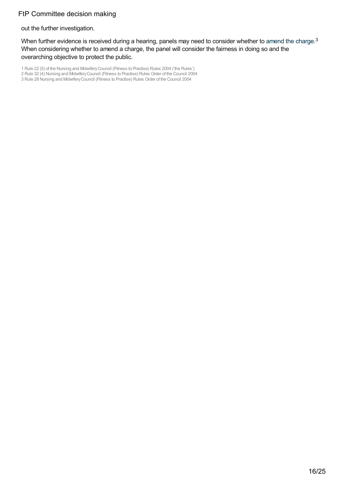out the further investigation.

When further evidence is received during a hearing, panels may need to consider whether to [amend](https://www.nmc.org.uk/ftp-library/hearings/drafting-charges/finalising-the-charge/) the charge.<sup>3</sup> When considering whether to amend a charge, the panel will consider the fairness in doing so and the overarching objective to protect the public.

1 Rule 22 (5) of the Nursing and MidwiferyCouncil (Fitness to Practise) Rules 2004 ('the Rules') 2 Rule 32 (4) Nursing and MidwiferyCouncil (Fitness to Practise) Rules Order of the Council 2004

3 Rule 28 Nursing and Midwifery Council (Fitness to Practise) Rules Order of the Council 2004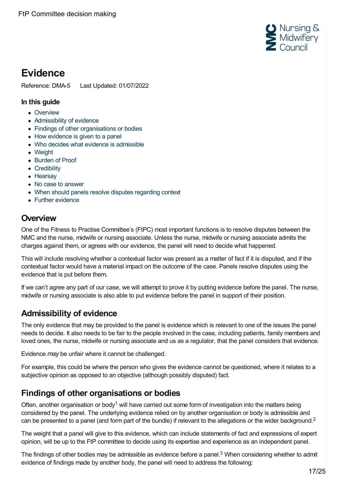

# <span id="page-16-0"></span>**Evidence**

Reference: DMA-5 Last Updated: 01/07/2022

#### **In this guide**

- [Overview](#page-16-1)
- [Admissibility](#page-16-2) of evidence
- Findings of other [organisations](#page-16-3) or bodies
- How [evidence](#page-17-0) is given to a panel
- Who decides what evidence is [admissible](#page-18-0)
- [Weight](#page-18-1)
- [Burden](#page-18-2) of Proof
- [Credibility](#page-18-3)
- Hearsav
- No case to [answer](#page-19-1)
- When should panels resolve disputes [regarding](#page-19-2) context
- Further [evidence](#page-20-0)

### <span id="page-16-1"></span>**Overview**

One of the Fitness to Practise Committee's (FtPC) most important functions is to resolve disputes between the NMC and the nurse, midwife or nursing associate. Unless the nurse, midwife or nursing associate admits the charges against them, or agrees with our evidence, the panel will need to decide what happened.

This will include resolving whether a contextual factor was present as a matter of fact if it is disputed, and if the contextual factor would have a material impact on the outcome of the case. Panels resolve disputes using the evidence that is put before them.

If we can't agree any part of our case, we will attempt to prove it by putting evidence before the panel. The nurse, midwife or nursing associate is also able to put evidence before the panel in support of their position.

## <span id="page-16-2"></span>**Admissibility of evidence**

The only evidence that may be provided to the panel is evidence which is relevant to one of the issues the panel needs to decide. It also needs to be fair to the people involved in the case, including patients, family members and loved ones, the nurse, midwife or nursing associate and us as a regulator, that the panel considers that evidence.

Evidence *may* be unfair where it cannot be challenged.

For example, this could be where the person who gives the evidence cannot be questioned, where it relates to a subjective opinion as opposed to an objective (although possibly disputed) fact.

### <span id="page-16-3"></span>**Findings of other organisations or bodies**

Often, another organisation or body<sup>1</sup> will have carried out some form of investigation into the matters being considered by the panel. The underlying evidence relied on by another organisation or body is admissible and can be presented to a panel (and form part of the bundle) if relevant to the allegations or the wider background.<sup>2</sup>

The weight that a panel will give to this evidence, which can include statements of fact and expressions of expert opinion, will be up to the FtP committee to decide using its expertise and experience as an independent panel.

The findings of other bodies may be admissible as evidence before a panel.<sup>3</sup> When considering whether to admit evidence of findings made by another body, the panel will need to address the following: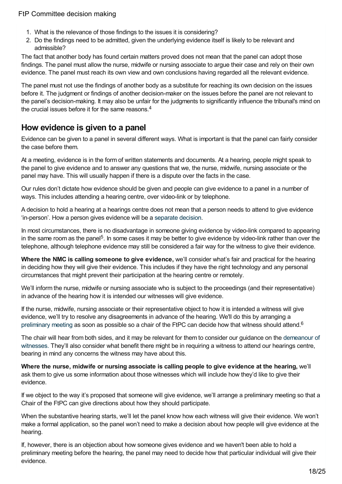- 1. What is the relevance of those findings to the issues it is considering?
- 2. Do the findings need to be admitted, given the underlying evidence itself is likely to be relevant and admissible?

The fact that another body has found certain matters proved does not mean that the panel can adopt those findings. The panel must allow the nurse, midwife or nursing associate to argue their case and rely on their own evidence. The panel must reach its own view and own conclusions having regarded all the relevant evidence.

The panel must not use the findings of another body as a substitute for reaching its own decision on the issues before it. The judgment or findings of another decision-maker on the issues before the panel are not relevant to the panel's decision-making. It may also be unfair for the judgments to significantly influence the tribunal's mind on the crucial issues before it for the same reasons. 4

### <span id="page-17-0"></span>**How evidence is given to a panel**

Evidence can be given to a panel in several different ways. What is important is that the panel can fairly consider the case before them.

At a meeting, evidence is in the form of written statements and documents. At a hearing, people might speak to the panel to give evidence and to answer any questions that we, the nurse, midwife, nursing associate or the panel may have. This will usually happen if there is a dispute over the facts in the case.

Our rules don't dictate how evidence should be given and people can give evidence to a panel in a number of ways. This includes attending a hearing centre, over video-link or by telephone.

A decision to hold a hearing at a hearings centre does not mean that a person needs to attend to give evidence 'in-person'. How a person gives evidence will be a [separate](https://www.nmc.org.uk/ftp-library/case-management/preliminary-meetings/) decision.

In most circumstances, there is no disadvantage in someone giving evidence by video-link compared to appearing in the same room as the panel<sup>5</sup>. In some cases it may be better to give evidence by video-link rather than over the telephone, although telephone evidence may still be considered a fair way for the witness to give their evidence.

**Where the NMC is calling someone to give evidence,** we'll consider what's fair and practical for the hearing in deciding how they will give their evidence. This includes if they have the right technology and any personal circumstances that might prevent their participation at the hearing centre or remotely.

We'll inform the nurse, midwife or nursing associate who is subject to the proceedings (and their representative) in advance of the hearing how it is intended our witnesses will give evidence.

If the nurse, midwife, nursing associate or their representative object to how it is intended a witness will give evidence, we'll try to resolve any disagreements in advance of the hearing. We'll do this by arranging a [preliminary](https://www.nmc.org.uk/ftp-library/case-management/preliminary-meetings/) meeting as soon as possible so a chair of the FtPC can decide how that witness should attend.<sup>6</sup>

The chair will hear from both sides, and it may be relevant for them to consider our guidance on the [demeanour](https://www.nmc.org.uk/ftp-library/ftpc-decision-making/evidence/) of witnesses. They'll also consider what benefit there might be in requiring a witness to attend our hearings centre, bearing in mind any concerns the witness may have about this.

**Where the nurse, midwife or nursing associate is calling people to give evidence at the hearing,** we'll ask them to give us some information about those witnesses which will include how they'd like to give their evidence.

If we object to the way it's proposed that someone will give evidence, we'll arrange a preliminary meeting so that a Chair of the FtPC can give directions about how they should participate.

When the substantive hearing starts, we'll let the panel know how each witness will give their evidence. We won't make a formal application, so the panel won't need to make a decision about how people will give evidence at the hearing.

If, however, there is an objection about how someone gives evidence and we haven't been able to hold a preliminary meeting before the hearing, the panel may need to decide how that particular individual will give their evidence.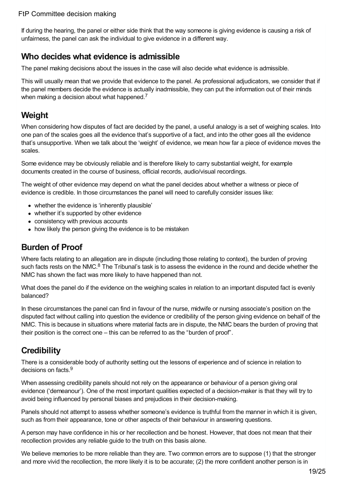If during the hearing, the panel or either side think that the way someone is giving evidence is causing a risk of unfairness, the panel can ask the individual to give evidence in a different way.

### <span id="page-18-0"></span>**Who decides what evidence is admissible**

The panel making decisions about the issues in the case will also decide what evidence is admissible.

This will usually mean that we provide that evidence to the panel. As professional adjudicators, we consider that if the panel members decide the evidence is actually inadmissible, they can put the information out of their minds when making a decision about what happened.<sup>7</sup>

## <span id="page-18-1"></span>**Weight**

When considering how disputes of fact are decided by the panel, a useful analogy is a set of weighing scales. Into one pan of the scales goes all the evidence that's supportive of a fact, and into the other goes all the evidence that's unsupportive. When we talk about the 'weight' of evidence, we mean how far a piece of evidence moves the scales.

Some evidence may be obviously reliable and is therefore likely to carry substantial weight, for example documents created in the course of business, official records, audio/visual recordings.

The weight of other evidence may depend on what the panel decides about whether a witness or piece of evidence is credible. In those circumstances the panel will need to carefully consider issues like:

- whether the evidence is 'inherently plausible'
- whether it's supported by other evidence
- consistency with previous accounts
- how likely the person giving the evidence is to be mistaken

## <span id="page-18-2"></span>**Burden of Proof**

Where facts relating to an allegation are in dispute (including those relating to context), the burden of proving such facts rests on the NMC.<sup>8</sup> The Tribunal's task is to assess the evidence in the round and decide whether the NMC has shown the fact was more likely to have happened than not.

What does the panel do if the evidence on the weighing scales in relation to an important disputed fact is evenly balanced?

In these circumstances the panel can find in favour of the nurse, midwife or nursing associate's position on the disputed fact without calling into question the evidence or credibility of the person giving evidence on behalf of the NMC. This is because in situations where material facts are in dispute, the NMC bears the burden of proving that their position is the correct one – this can be referred to as the "burden of proof".

## <span id="page-18-3"></span>**Credibility**

There is a considerable body of authority setting out the lessons of experience and of science in relation to decisions on facts.<sup>9</sup>

When assessing credibility panels should not rely on the appearance or behaviour of a person giving oral evidence ('demeanour'). One of the most important qualities expected of a decision-maker is that they will try to avoid being influenced by personal biases and prejudices in their decision-making.

Panels should not attempt to assess whether someone's evidence is truthful from the manner in which it is given, such as from their appearance, tone or other aspects of their behaviour in answering questions.

A person may have confidence in his or her recollection and be honest. However, that does not mean that their recollection provides any reliable guide to the truth on this basis alone.

We believe memories to be more reliable than they are. Two common errors are to suppose (1) that the stronger and more vivid the recollection, the more likely it is to be accurate; (2) the more confident another person is in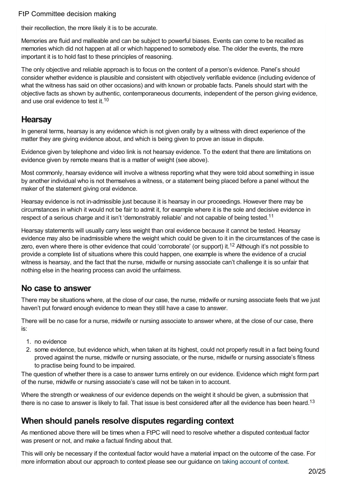their recollection, the more likely it is to be accurate.

Memories are fluid and malleable and can be subject to powerful biases. Events can come to be recalled as memories which did not happen at all or which happened to somebody else. The older the events, the more important it is to hold fast to these principles of reasoning.

The only objective and reliable approach is to focus on the content of a person's evidence. Panel's should consider whether evidence is plausible and consistent with objectively verifiable evidence (including evidence of what the witness has said on other occasions) and with known or probable facts. Panels should start with the objective facts as shown by authentic, contemporaneous documents, independent of the person giving evidence, and use oral evidence to test it.<sup>10</sup>

### <span id="page-19-0"></span>**Hearsay**

In general terms, hearsay is any evidence which is not given orally by a witness with direct experience of the matter they are giving evidence about, and which is being given to prove an issue in dispute.

Evidence given by telephone and video link is not hearsay evidence. To the extent that there are limitations on evidence given by remote means that is a matter of weight (see above).

Most commonly, hearsay evidence will involve a witness reporting what they were told about something in issue by another individual who is not themselves a witness, or a statement being placed before a panel without the maker of the statement giving oral evidence.

Hearsay evidence is not in-admissible just because it is hearsay in our proceedings. However there may be circumstances in which it would not be fair to admit it, for example where it is the sole and decisive evidence in respect of a serious charge and it isn't 'demonstrably reliable' and not capable of being tested.<sup>11</sup>

Hearsay statements will usually carry less weight than oral evidence because it cannot be tested. Hearsay evidence may also be inadmissible where the weight which could be given to it in the circumstances of the case is zero, even where there is other evidence that could 'corroborate' (or support) it.<sup>12</sup> Although it's not possible to provide a complete list of situations where this could happen, one example is where the evidence of a crucial witness is hearsay, and the fact that the nurse, midwife or nursing associate can't challenge it is so unfair that nothing else in the hearing process can avoid the unfairness.

### <span id="page-19-1"></span>**No case to answer**

There may be situations where, at the close of our case, the nurse, midwife or nursing associate feels that we just haven't put forward enough evidence to mean they still have a case to answer.

There will be no case for a nurse, midwife or nursing associate to answer where, at the close of our case, there is:

- 1. no evidence
- 2. some evidence, but evidence which, when taken at its highest, could not properly result in a fact being found proved against the nurse, midwife or nursing associate, or the nurse, midwife or nursing associate's fitness to practise being found to be impaired.

The question of whether there is a case to answer turns entirely on our evidence. Evidence which might form part of the nurse, midwife or nursing associate's case will not be taken in to account.

Where the strength or weakness of our evidence depends on the weight it should be given, a submission that there is no case to answer is likely to fail. That issue is best considered after all the evidence has been heard.<sup>13</sup>

### <span id="page-19-2"></span>**When should panels resolve disputes regarding context**

As mentioned above there will be times when a FtPC will need to resolve whether a disputed contextual factor was present or not, and make a factual finding about that.

This will only be necessary if the contextual factor would have a material impact on the outcome of the case. For more information about our approach to context please see our guidance on taking [account](https://www.nmc.org.uk/ftp-library/understanding-fitness-to-practise/taking-account-of-context/) of context.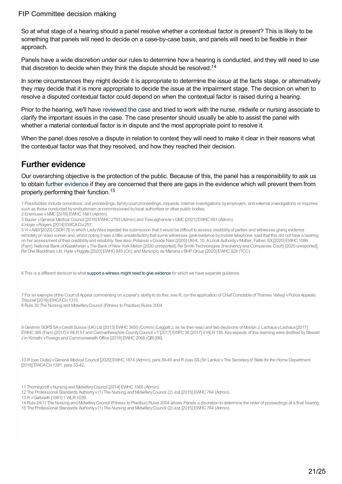So at what stage of a hearing should a panel resolve whether a contextual factor is present? This is likely to be something that panels will need to decide on a case-by-case basis, and panels will need to be flexible in their approach.

Panels have a wide discretion under our rules to determine how a hearing is conducted, and they will need to use that discretion to decide when they think the dispute should be resolved.<sup>14</sup>

In some circumstances they might decide it is appropriate to determine the issue at the facts stage, or alternatively they may decide that it is more appropriate to decide the issue at the impairment stage. The decision on when to resolve a disputed contextual factor could depend on when the contextual factor is raised during a hearing.

Prior to the hearing, we'll have [reviewed](https://www.nmc.org.uk/ftp-library/hearings/reviewing-cases-after-they-get-referred-to-the-ftpc/) the case and tried to work with the nurse, midwife or nursing associate to clarify the important issues in the case. The case presenter should usually be able to assist the panel with whether a material contextual factor is in dispute and the most appropriate point to resolve it.

When the panel does resolve a dispute in relation to context they will need to make it clear in their reasons what the contextual factor was that they resolved, and how they reached their decision.

### <span id="page-20-0"></span>**Further evidence**

Our overarching objective is the protection of the public. Because of this, the panel has a responsibility to ask us to obtain further [evidence](https://www.nmc.org.uk/ftp-library/hearings/gathering-further-evidence-after-the-investigation/) if they are concerned that there are gaps in the evidence which will prevent them from properly performing their function. 15

- 1 Possibilities include convictions, civil proceedings, familycourt proceedings, inquests, internal investigations byemployers, and external investigations or inquiries
- such as those conducted byombudsmen or commissioned bylocal authorities or other public bodies.
- 2 Enemuwe v NMC [2016] EWHC 1881 (Admin).

4 Hoyle vRogers [2014] EWCACiv257.

5 YI vAAW[2020]CSOH76 in which LadyWise rejected the submission that itwould be difficult to assess credibilityof parties and witnesses giving evidence remotely on video screen and, whilst noting it was a little unsatisfactory that some witnesses gave evidence by mobile telephone, said that this did not have a bearing on her assessment of their credibilityand reliability. See also: Polanski vConde Nast [2005]UKHL 10; ALocal AuthorityvMother, Father, SX[2020] EWHC1086 (Fam); National Bank of Kazakhstan v The Bank of New York Mellon [2020 unreported]; Re Smith Technologies (Insolvency and Companies Court) [2020 unreported]; ReOne Blackfriars Ltd,Hyde vNygate [2020] EWHC845 (Ch); and Municipio de Mariana vBHPGroup [2020] EWHC928 (TCC).

6 This is a different decision to what support a witness might need to give [evidence](https://www.nmc.org.uk/ftp-library/case-management/supporting-people-to-give-evidence-in-hearings/) for which we have separate guidance.

7 For an example of the Court of Appeal commenting on a panel's abilityto do this, see R. (on the application ofChiefConstable of Thames Valley) vPolice Appeals Tribunal [2016] EWCACiv 1315.

8 Rule 30 The Nursing and MidwiferyCouncil (Fitness to Practise) Rules 2004.

9Gestmin SGPSSAvCredit Suisse (UK) Ltd [2013] EWHC3650 (Comm) (Leggatt J, as he then was) and two decisions of Mostyn J: LachauxvLachaux[2017] EWHC385 (Fam) [2017] 4 WLR57 and Carmarthenshire CountyCouncil vY[2017] EWFC36 [2017] 4 WLR136. Keyaspects of this learning were distilled byStewart J in Kimathi vForeign and CommonwealthOffice [2018] EWHC2066 (QB) [96].

10 R(oao Dutta) vGeneral Medical Council [2020] EWHC1874 (Admin), para 39-40 and R(oao SS(Sri Lanka) vThe Secretaryof State for the Home Department [2018] EWCA Civ 1391, para 33-42.

- 11 Thorneycroft v Nursing and Midwifery Council [2014] EWHC 1565 (Admin).
- 12 The Professional Standards Authorityv(1) The Nursing and MidwiferyCouncil (2) Jozi [2015] EWHC764 (Admin).
- 13 R v Galbraith [1981] 1 WLR 1039.

14 Rule 24(1) The Nursing and MidwiferyCouncil (Fitness to Practise) Rules 2004 allows Panels a discretion to determine the order of proceedings at a final hearing. 15 The Professional Standards Authorityv(1) The Nursing and MidwiferyCouncil (2) Jozi [2015] EWHC764 (Admin).

<sup>3</sup> Squier vGeneral Medical Council [2016] EWHC2793 (Admin) and Towuaghanste vGMC[2021] EWHC681 (Admin).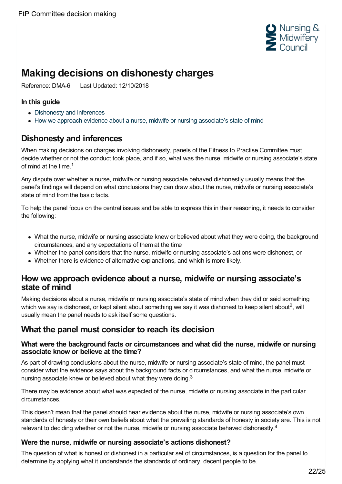

# <span id="page-21-0"></span>**Making decisions on dishonesty charges**

Reference: DMA-6 Last Updated: 12/10/2018

#### **In this guide**

- [Dishonesty](#page-21-1) and inferences
- How we approach evidence about a nurse, midwife or nursing [associate's](#page-21-2) state of mind

### <span id="page-21-1"></span>**Dishonesty and inferences**

When making decisions on charges involving dishonesty, panels of the Fitness to Practise Committee must decide whether or not the conduct took place, and if so, what was the nurse, midwife or nursing associate's state of mind at the time. 1

Any dispute over whether a nurse, midwife or nursing associate behaved dishonestly usually means that the panel's findings will depend on what conclusions they can draw about the nurse, midwife or nursing associate's state of mind from the basic facts.

To help the panel focus on the central issues and be able to express this in their reasoning, it needs to consider the following:

- What the nurse, midwife or nursing associate knew or believed about what they were doing, the background circumstances, and any expectations of them at the time
- Whether the panel considers that the nurse, midwife or nursing associate's actions were dishonest, or
- Whether there is evidence of alternative explanations, and which is more likely.

### <span id="page-21-2"></span>**How we approach evidence about a nurse, midwife or nursing associate's state of mind**

Making decisions about a nurse, midwife or nursing associate's state of mind when they did or said something which we say is dishonest, or kept silent about something we say it was dishonest to keep silent about<sup>2</sup>, will usually mean the panel needs to ask itself some questions.

### **What the panel must consider to reach its decision**

#### **What were the background facts or circumstances and what did the nurse, midwife or nursing associate know or believe at the time?**

As part of drawing conclusions about the nurse, midwife or nursing associate's state of mind, the panel must consider what the evidence says about the background facts or circumstances, and what the nurse, midwife or nursing associate knew or believed about what they were doing.<sup>3</sup>

There may be evidence about what was expected of the nurse, midwife or nursing associate in the particular circumstances.

This doesn't mean that the panel should hear evidence about the nurse, midwife or nursing associate's own standards of honesty or their own beliefs about what the prevailing standards of honesty in society are. This is not relevant to deciding whether or not the nurse, midwife or nursing associate behaved dishonestly.<sup>4</sup>

#### **Were the nurse, midwife or nursing associate's actions dishonest?**

The question of what is honest or dishonest in a particular set of circumstances, is a question for the panel to determine by applying what it understands the standards of ordinary, decent people to be.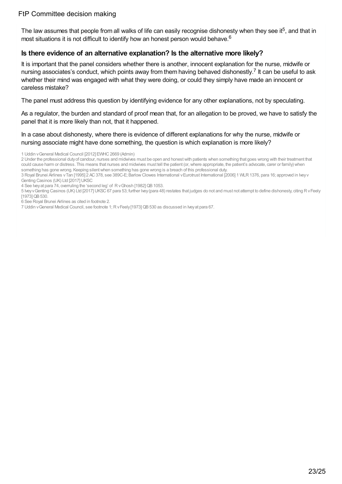The law assumes that people from all walks of life can easily recognise dishonesty when they see it<sup>5</sup>, and that in most situations it is not difficult to identify how an honest person would behave. 6

#### **Is there evidence of an alternative explanation? Is the alternative more likely?**

It is important that the panel considers whether there is another, innocent explanation for the nurse, midwife or nursing associates's conduct, which points away from them having behaved dishonestly.<sup>7</sup> It can be useful to ask whether their mind was engaged with what they were doing, or could they simply have made an innocent or careless mistake?

The panel must address this question by identifying evidence for any other explanations, not by speculating.

As a regulator, the burden and standard of proof mean that, for an allegation to be proved, we have to satisfy the panel that it is more likely than not, that it happened.

In a case about dishonesty, where there is evidence of different explanations for why the nurse, midwife or nursing associate might have done something, the question is which explanation is more likely?

<sup>1</sup> Uddin vGeneral Medical Council [2012] EWHC2669 (Admin)

<sup>2</sup> Under the professional dutyof candour, nurses and midwives must be open and honestwith patients when something that goes wrong with their treatment that could cause harm or distress. This means that nurses and midwives must tell the patient (or,where appropriate, the patient's advocate, carer or family) when something has gone wrong. Keeping silentwhen something has gone wrong is a breach of this professional duty.

<sup>3</sup> Royal Brunei Airlines vTan [1995] 2 AC378, see 389C-E; BarlowClowes International vEurotrust International [2006] 1 WLR1376, para 16; approved in Iveyv Genting Casinos (UK) Ltd [2017] UKSC

<sup>4</sup> See Iveyat para 74, overruling the 'second leg' of R v Ghosh [1982] QB 1053.

<sup>5</sup> IveyvGenting Casinos (UK) Ltd [2017]UKSC67 para 53; further Ivey(para 48) restates that judges do not and must not attempt to define dishonesty, citing RvFeely [1973] QB 530.

<sup>6</sup> See Royal Brunei Airlines as cited in footnote 2.

<sup>7</sup> Uddin vGeneral Medical Council, see footnote 1;RvFeely[1973]QB530 as discussed in Iveyat para 67.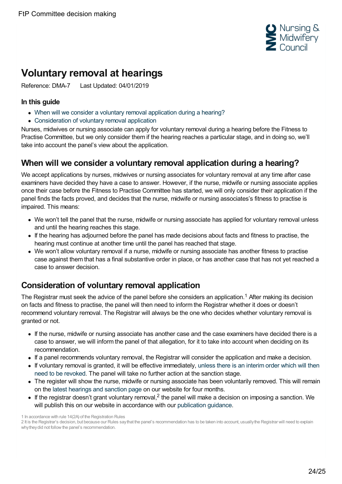

# <span id="page-23-0"></span>**Voluntary removal at hearings**

Reference: DMA-7 Last Updated: 04/01/2019

#### **In this guide**

- When will we consider a voluntary removal [application](#page-23-1) during a hearing?
- [Consideration](#page-23-2) of voluntary removal application

Nurses, midwives or nursing associate can apply for voluntary removal during a hearing before the Fitness to Practise Committee, but we only consider them if the hearing reaches a particular stage, and in doing so, we'll take into account the panel's view about the application.

### <span id="page-23-1"></span>**When will we consider a voluntary removal application during a hearing?**

We accept applications by nurses, midwives or nursing associates for voluntary removal at any time after case examiners have decided they have a case to answer. However, if the nurse, midwife or nursing associate applies once their case before the Fitness to Practise Committee has started, we will only consider their application if the panel finds the facts proved, and decides that the nurse, midwife or nursing associates's fitness to practise is impaired. This means:

- We won't tell the panel that the nurse, midwife or nursing associate has applied for voluntary removal unless and until the hearing reaches this stage.
- If the hearing has adjourned before the panel has made decisions about facts and fitness to practise, the hearing must continue at another time until the panel has reached that stage.
- We won't allow voluntary removal if a nurse, midwife or nursing associate has another fitness to practise case against them that has a final substantive order in place, or has another case that has not yet reached a case to answer decision.

## <span id="page-23-2"></span>**Consideration of voluntary removal application**

The Registrar must seek the advice of the panel before she considers an application.<sup>1</sup> After making its decision on facts and fitness to practise, the panel will then need to inform the Registrar whether it does or doesn't recommend voluntary removal. The Registrar will always be the one who decides whether voluntary removal is granted or not.

- If the nurse, midwife or nursing associate has another case and the case examiners have decided there is a case to answer, we will inform the panel of that allegation, for it to take into account when deciding on its recommendation.
- If a panel recommends voluntary removal, the Registrar will consider the application and make a decision.
- If voluntary removal is granted, it will be effective [immediately,](https://www.nmc.org.uk/ftp-library/interim-orders/interim-orders-their-purpose-and-our-powers-to-impose-them/) unless there is an interim order which will then need to be revoked. The panel will take no further action at the sanction stage.
- The register will show the nurse, midwife or nursing associate has been voluntarily removed. This will remain on the latest [hearings](https://www.nmc.org.uk/concerns-nurses-midwives/hearings/hearings-sanctions/) and sanction page on our website for four months.
- If the registrar doesn't grant voluntary removal,<sup>2</sup> the panel will make a decision on imposing a sanction. We will publish this on our website in accordance with our [publication](https://www.nmc.org.uk/globalassets/sitedocuments/ftp_information/publication-gudiance.pdf) guidance.

<sup>1</sup> In accordance with rule 14(2A) of the Registration Rules

<sup>2</sup> It is the Registrar's decision, but because our Rules saythat the panel's recommendation has to be taken into account, usuallythe Registrar will need to explain why they did not follow the panel's recommendation.